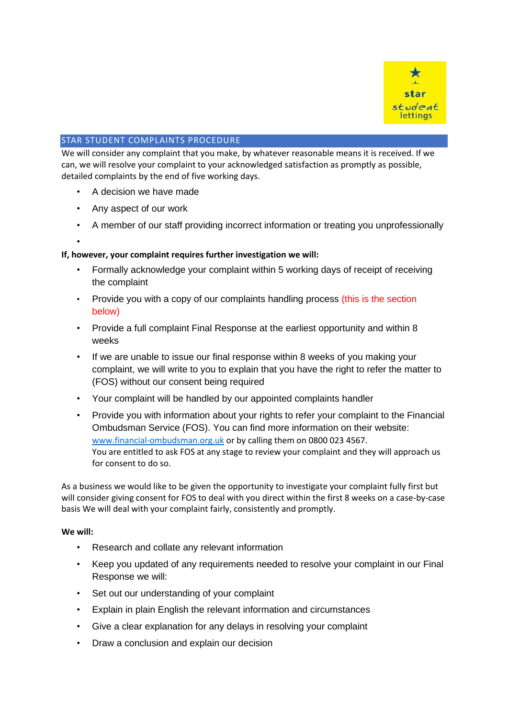

# STAR STUDENT COMPLAINTS PROCEDURE

We will consider any complaint that you make, by whatever reasonable means it is received. If we can, we will resolve your complaint to your acknowledged satisfaction as promptly as possible, detailed complaints by the end of five working days.

- A decision we have made
- Any aspect of our work
- A member of our staff providing incorrect information or treating you unprofessionally
- •

# **If, however, your complaint requires further investigation we will:**

- Formally acknowledge your complaint within 5 working days of receipt of receiving the complaint
- Provide you with a copy of our complaints handling process (this is the section below)
- Provide a full complaint Final Response at the earliest opportunity and within 8 weeks
- If we are unable to issue our final response within 8 weeks of you making your complaint, we will write to you to explain that you have the right to refer the matter to (FOS) without our consent being required
- Your complaint will be handled by our appointed complaints handler
- Provide you with information about your rights to refer your complaint to the Financial Ombudsman Service (FOS). You can find more information on their website: [www.financial-ombudsman.org.uk](http://www.financial-ombudsman.org.uk/) or by calling them on 0800 023 4567. You are entitled to ask FOS at any stage to review your complaint and they will approach us for consent to do so.

As a business we would like to be given the opportunity to investigate your complaint fully first but will consider giving consent for FOS to deal with you direct within the first 8 weeks on a case-by-case basis We will deal with your complaint fairly, consistently and promptly.

#### **We will:**

- Research and collate any relevant information
- Keep you updated of any requirements needed to resolve your complaint in our Final Response we will:
- Set out our understanding of your complaint
- Explain in plain English the relevant information and circumstances
- Give a clear explanation for any delays in resolving your complaint
- Draw a conclusion and explain our decision